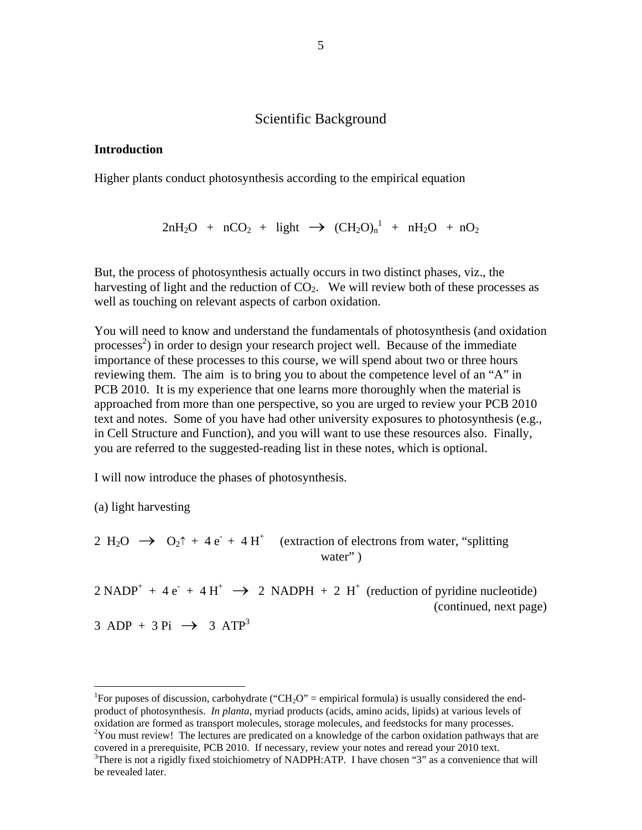## Scientific Background

#### **Introduction**

Higher plants conduct photosynthesis according to the empirical equation

$$
2nH_2O\ +\ nCO_2\ +\ light\ \to\ (CH_2O)_n{}^1\ +\ nH_2O\ +\ nO_2
$$

But, the process of photosynthesis actually occurs in two distinct phases, viz., the harvesting of light and the reduction of  $CO<sub>2</sub>$ . We will review both of these processes as well as touching on relevant aspects of carbon oxidation.

You will need to know and understand the fundamentals of photosynthesis (and oxidation processes<sup>[2](#page-0-1)</sup>) in order to design your research project well. Because of the immediate importance of these processes to this course, we will spend about two or three hours reviewing them. The aim is to bring you to about the competence level of an "A" in PCB 2010. It is my experience that one learns more thoroughly when the material is approached from more than one perspective, so you are urged to review your PCB 2010 text and notes. Some of you have had other university exposures to photosynthesis (e.g., in Cell Structure and Function), and you will want to use these resources also. Finally, you are referred to the suggested-reading list in these notes, which is optional.

I will now introduce the phases of photosynthesis.

(a) light harvesting

1

2 H<sub>2</sub>O  $\rightarrow$  O<sub>2</sub>↑ + 4 e<sup>-</sup> + 4 H<sup>+</sup> (extraction of electrons from water, "splitting water"

 $2 \text{ NADP}^+ + 4 e^- + 4 H^+ \rightarrow 2 \text{ NADPH} + 2 H^+$  (reduction of pyridine nucleotide) (continued, next page)  $3 \text{ ADP} + 3 \text{ Pi} \rightarrow 3 \text{ ATP}^3$ 

<span id="page-0-2"></span><span id="page-0-1"></span><span id="page-0-0"></span><sup>&</sup>lt;sup>1</sup>For puposes of discussion, carbohydrate ("CH<sub>2</sub>O" = empirical formula) is usually considered the endproduct of photosynthesis. *In planta*, myriad products (acids, amino acids, lipids) at various levels of oxidation are formed as transport molecules, storage molecules, and feedstocks for many processes.  $2$ You must review! The lectures are predicated on a knowledge of the carbon oxidation pathways that are covered in a prerequisite, PCB 2010. If necessary, review your notes and reread your 2010 text.  ${}^{3}$ There is not a rigidly fixed stoichiometry of NADPH:ATP. I have chosen "3" as a convenience that will be revealed later.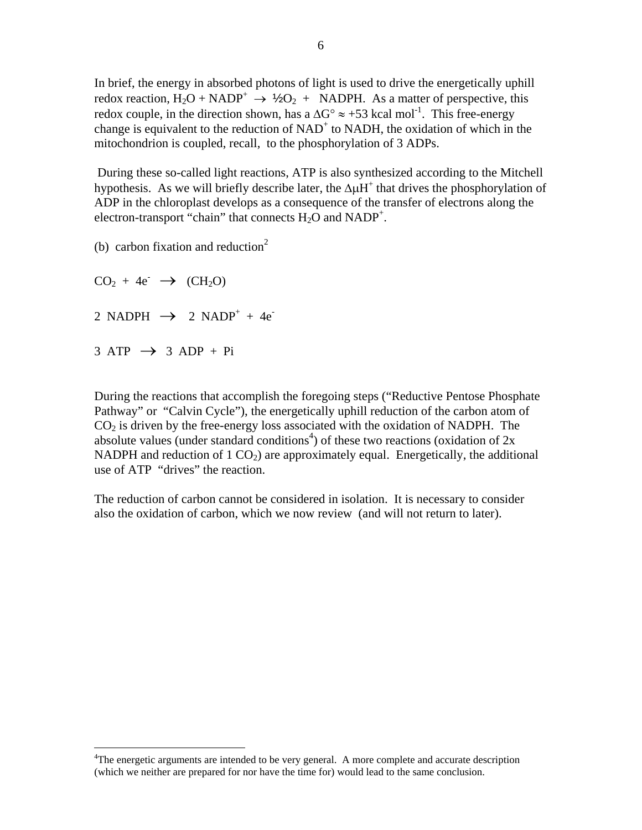In brief, the energy in absorbed photons of light is used to drive the energetically uphill redox reaction,  $H_2O + NADP^+ \rightarrow \frac{1}{2}O_2 + NADPH$ . As a matter of perspective, this redox couple, in the direction shown, has a  $\Delta G^{\circ} \approx +53$  kcal mol<sup>-1</sup>. This free-energy change is equivalent to the reduction of  $NAD<sup>+</sup>$  to  $NADH$ , the oxidation of which in the mitochondrion is coupled, recall, to the phosphorylation of 3 ADPs.

 During these so-called light reactions, ATP is also synthesized according to the Mitchell hypothesis. As we will briefly describe later, the  $\Delta \mu H^+$  that drives the phosphorylation of ADP in the chloroplast develops as a consequence of the transfer of electrons along the electron-transport "chain" that connects  $H_2O$  and  $NADP^+$ .

(b) carbon fixation and reduction<sup>2</sup>

 $CO<sub>2</sub> + 4e^- \rightarrow (CH<sub>2</sub>O)$ 2 NADPH  $\rightarrow$  2 NADP<sup>+</sup> + 4e<sup>-</sup>  $3 \text{ ATP} \rightarrow 3 \text{ADP} + \text{Pi}$ 

 $\overline{a}$ 

During the reactions that accomplish the foregoing steps ("Reductive Pentose Phosphate Pathway" or "Calvin Cycle"), the energetically uphill reduction of the carbon atom of  $CO<sub>2</sub>$  is driven by the free-energy loss associated with the oxidation of NADPH. The absolute values (under standard conditions<sup>[4](#page-1-0)</sup>) of these two reactions (oxidation of  $2x$ NADPH and reduction of  $1 \text{ CO}_2$ ) are approximately equal. Energetically, the additional use of ATP "drives" the reaction.

The reduction of carbon cannot be considered in isolation. It is necessary to consider also the oxidation of carbon, which we now review (and will not return to later).

<span id="page-1-0"></span><sup>&</sup>lt;sup>4</sup>The energetic arguments are intended to be very general. A more complete and accurate description (which we neither are prepared for nor have the time for) would lead to the same conclusion.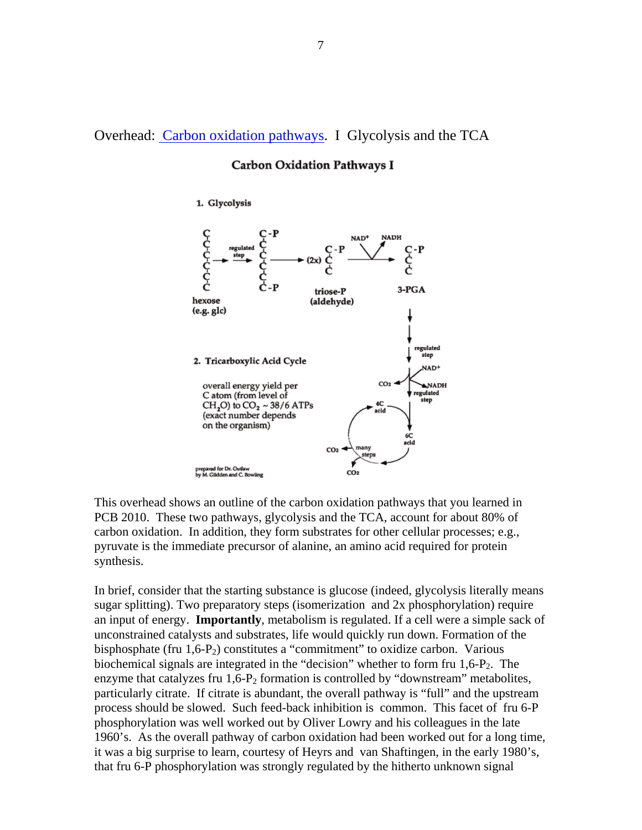Overhead: Carbon oxidation pathways. I Glycolysis and the TCA

### **Carbon Oxidation Pathways I**

1. Glycolysis



This overhead shows an outline of the carbon oxidation pathways that you learned in PCB 2010. These two pathways, glycolysis and the TCA, account for about 80% of carbon oxidation. In addition, they form substrates for other cellular processes; e.g., pyruvate is the immediate precursor of alanine, an amino acid required for protein synthesis.

In brief, consider that the starting substance is glucose (indeed, glycolysis literally means sugar splitting). Two preparatory steps (isomerization and 2x phosphorylation) require an input of energy. **Importantly**, metabolism is regulated. If a cell were a simple sack of unconstrained catalysts and substrates, life would quickly run down. Formation of the bisphosphate (fru  $1,6-P_2$ ) constitutes a "commitment" to oxidize carbon. Various biochemical signals are integrated in the "decision" whether to form fru  $1,6$ -P<sub>2</sub>. The enzyme that catalyzes fru  $1.6$ - $P_2$  formation is controlled by "downstream" metabolites, particularly citrate. If citrate is abundant, the overall pathway is "full" and the upstream process should be slowed. Such feed-back inhibition is common. This facet of fru 6-P phosphorylation was well worked out by Oliver Lowry and his colleagues in the late 1960's. As the overall pathway of carbon oxidation had been worked out for a long time, it was a big surprise to learn, courtesy of Heyrs and van Shaftingen, in the early 1980's, that fru 6-P phosphorylation was strongly regulated by the hitherto unknown signal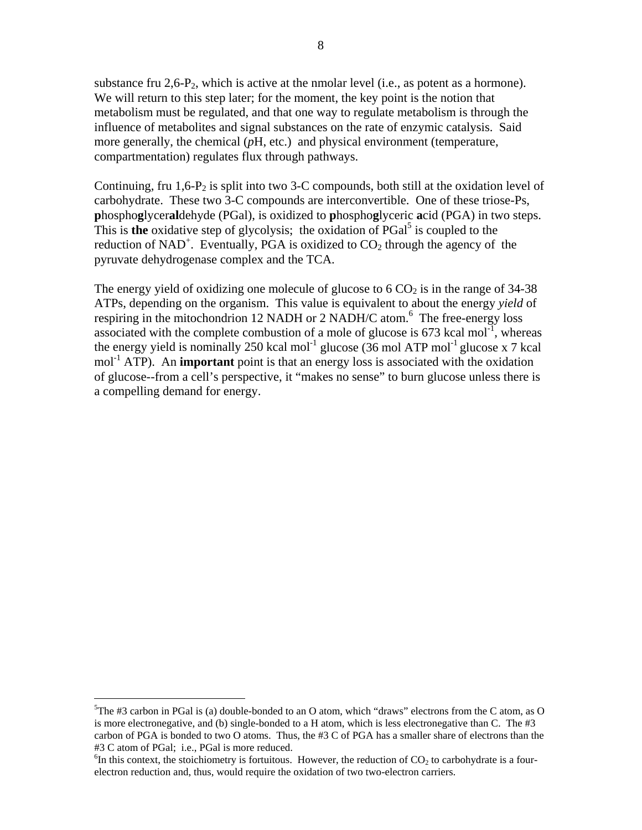substance fru  $2.6$ - $P_2$ , which is active at the nmolar level (i.e., as potent as a hormone). We will return to this step later; for the moment, the key point is the notion that metabolism must be regulated, and that one way to regulate metabolism is through the influence of metabolites and signal substances on the rate of enzymic catalysis. Said more generally, the chemical (*p*H, etc.) and physical environment (temperature, compartmentation) regulates flux through pathways.

Continuing, fru  $1,6$ - $P_2$  is split into two 3-C compounds, both still at the oxidation level of carbohydrate. These two 3-C compounds are interconvertible. One of these triose-Ps, **p**hospho**g**lycer**al**dehyde (PGal), is oxidized to **p**hospho**g**lyceric **a**cid (PGA) in two steps. This is **the** oxidative step of glycolysis; the oxidation of PGal<sup>[5](#page-3-0)</sup> is coupled to the reduction of NAD<sup>+</sup>. Eventually, PGA is oxidized to  $CO<sub>2</sub>$  through the agency of the pyruvate dehydrogenase complex and the TCA.

The energy yield of oxidizing one molecule of glucose to  $6 \text{ CO}_2$  is in the range of 34-38 ATPs, depending on the organism. This value is equivalent to about the energy *yield* of respiring in the mitochondrion 12 NADH or 2 NADH/C atom.<sup>[6](#page-3-1)</sup> The free-energy loss associated with the complete combustion of a mole of glucose is  $673$  kcal mol<sup>-1</sup>, whereas the energy yield is nominally 250 kcal mol<sup>-1</sup> glucose (36 mol ATP mol<sup>-1</sup> glucose x 7 kcal mol<sup>-1</sup> ATP). An **important** point is that an energy loss is associated with the oxidation of glucose--from a cell's perspective, it "makes no sense" to burn glucose unless there is a compelling demand for energy.

 $\overline{a}$ 

<span id="page-3-0"></span><sup>&</sup>lt;sup>5</sup>The #3 carbon in PGal is (a) double-bonded to an O atom, which "draws" electrons from the C atom, as O is more electronegative, and (b) single-bonded to a H atom, which is less electronegative than C. The #3 carbon of PGA is bonded to two O atoms. Thus, the #3 C of PGA has a smaller share of electrons than the #3 C atom of PGal; i.e., PGal is more reduced.

<span id="page-3-1"></span> ${}^{6}$ In this context, the stoichiometry is fortuitous. However, the reduction of CO<sub>2</sub> to carbohydrate is a fourelectron reduction and, thus, would require the oxidation of two two-electron carriers.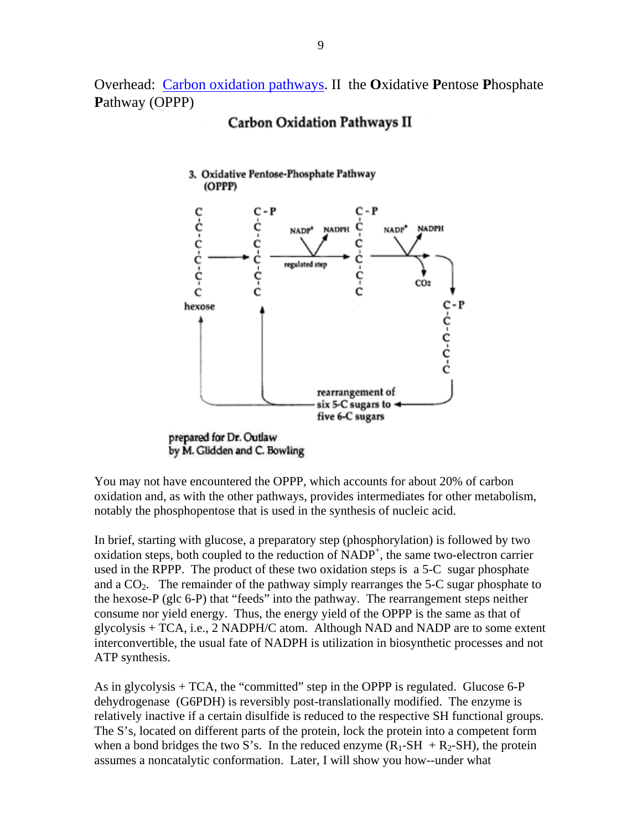Overhead: Carbon oxidation pathways. II the **O**xidative **P**entose **P**hosphate **P**athway (OPPP)

# **Carbon Oxidation Pathways II**



You may not have encountered the OPPP, which accounts for about 20% of carbon oxidation and, as with the other pathways, provides intermediates for other metabolism, notably the phosphopentose that is used in the synthesis of nucleic acid.

In brief, starting with glucose, a preparatory step (phosphorylation) is followed by two oxidation steps, both coupled to the reduction of NADP<sup>+</sup>, the same two-electron carrier used in the RPPP. The product of these two oxidation steps is a 5-C sugar phosphate and a  $CO<sub>2</sub>$ . The remainder of the pathway simply rearranges the 5-C sugar phosphate to the hexose-P (glc 6-P) that "feeds" into the pathway. The rearrangement steps neither consume nor yield energy. Thus, the energy yield of the OPPP is the same as that of glycolysis + TCA, i.e., 2 NADPH/C atom. Although NAD and NADP are to some extent interconvertible, the usual fate of NADPH is utilization in biosynthetic processes and not ATP synthesis.

As in glycolysis + TCA, the "committed" step in the OPPP is regulated. Glucose 6-P dehydrogenase (G6PDH) is reversibly post-translationally modified. The enzyme is relatively inactive if a certain disulfide is reduced to the respective SH functional groups. The S's, located on different parts of the protein, lock the protein into a competent form when a bond bridges the two S's. In the reduced enzyme  $(R_1-SH + R_2-SH)$ , the protein assumes a noncatalytic conformation. Later, I will show you how--under what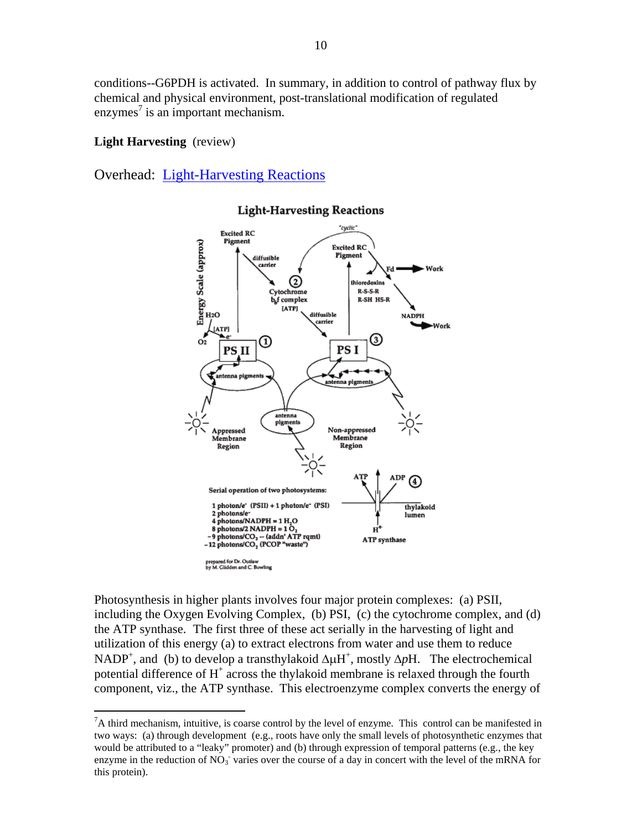conditions--G6PDH is activated. In summary, in addition to control of pathway flux by chemical and physical environment, post-translational modification of regulated enzymes<sup>[7](#page-5-0)</sup> is an important mechanism.

## **Light Harvesting** (review)

<u>.</u>

Overhead: Light-Harvesting Reactions



### **Light-Harvesting Reactions**

Photosynthesis in higher plants involves four major protein complexes: (a) PSII, including the Oxygen Evolving Complex, (b) PSI, (c) the cytochrome complex, and (d) the ATP synthase. The first three of these act serially in the harvesting of light and utilization of this energy (a) to extract electrons from water and use them to reduce NADP<sup>+</sup>, and (b) to develop a transthylakoid  $\Delta \mu$ H<sup>+</sup>, mostly  $\Delta p$ H. The electrochemical potential difference of  $H^+$  across the thylakoid membrane is relaxed through the fourth component, viz., the ATP synthase. This electroenzyme complex converts the energy of

<span id="page-5-0"></span> ${}^{7}$ A third mechanism, intuitive, is coarse control by the level of enzyme. This control can be manifested in two ways: (a) through development (e.g., roots have only the small levels of photosynthetic enzymes that would be attributed to a "leaky" promoter) and (b) through expression of temporal patterns (e.g., the key enzyme in the reduction of  $NO<sub>3</sub>$  varies over the course of a day in concert with the level of the mRNA for this protein).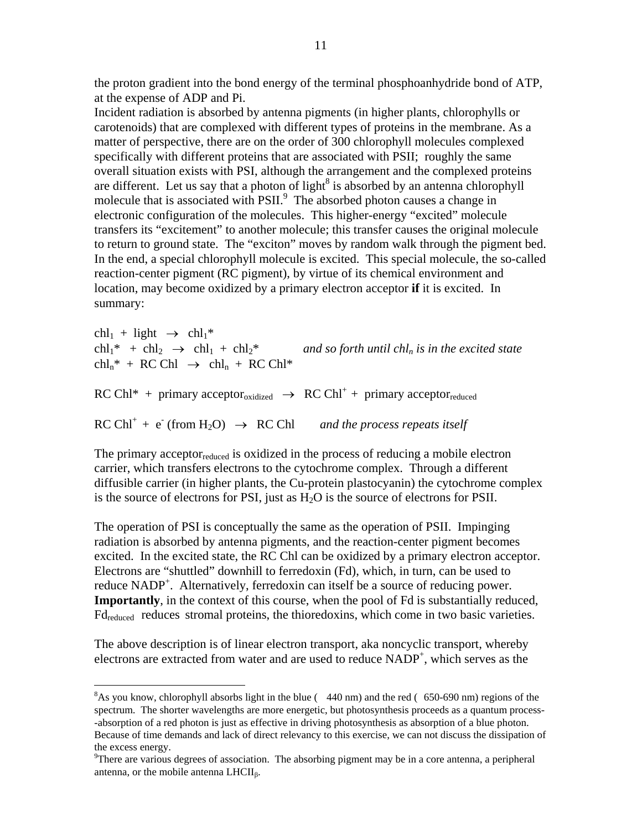the proton gradient into the bond energy of the terminal phosphoanhydride bond of ATP, at the expense of ADP and Pi.

Incident radiation is absorbed by antenna pigments (in higher plants, chlorophylls or carotenoids) that are complexed with different types of proteins in the membrane. As a matter of perspective, there are on the order of 300 chlorophyll molecules complexed specifically with different proteins that are associated with PSII; roughly the same overall situation exists with PSI, although the arrangement and the complexed proteins are different. Let us say that a photon of light<sup>[8](#page-6-0)</sup> is absorbed by an antenna chlorophyll molecule that is associated with PSII.<sup>[9](#page-6-1)</sup> The absorbed photon causes a change in electronic configuration of the molecules. This higher-energy "excited" molecule transfers its "excitement" to another molecule; this transfer causes the original molecule to return to ground state. The "exciton" moves by random walk through the pigment bed. In the end, a special chlorophyll molecule is excited. This special molecule, the so-called reaction-center pigment (RC pigment), by virtue of its chemical environment and location, may become oxidized by a primary electron acceptor **if** it is excited. In summary:

```
chl<sub>1</sub> + light \rightarrow chl<sub>1</sub>*<br>chl<sub>1</sub>* + chl<sub>2</sub> \rightarrow chl<sub>1</sub> + chl<sub>2</sub>*
                                                                        and so forth until \text{ch} l_n is in the excited state
\text{chl}_{n}^{*} + \text{RC Chl} \rightarrow \text{chl}_{n} + \text{RC Chl}^{*}RC Ch1* + primary acceptor<sub>oxidized</sub> \rightarrow RC Ch<sup>+</sup> + primary acceptor<sub>reduced</sub>
RC Chl^+ + e^-(from H<sub>2</sub>O) \rightarrow RC Chland the process repeats itself
```
The primary acceptor $_{reduced}$  is oxidized in the process of reducing a mobile electron carrier, which transfers electrons to the cytochrome complex. Through a different diffusible carrier (in higher plants, the Cu-protein plastocyanin) the cytochrome complex is the source of electrons for PSI, just as  $H_2O$  is the source of electrons for PSII.

The operation of PSI is conceptually the same as the operation of PSII. Impinging radiation is absorbed by antenna pigments, and the reaction-center pigment becomes excited. In the excited state, the RC Chl can be oxidized by a primary electron acceptor. Electrons are "shuttled" downhill to ferredoxin (Fd), which, in turn, can be used to reduce NADP<sup>+</sup>. Alternatively, ferredoxin can itself be a source of reducing power. **Importantly**, in the context of this course, when the pool of Fd is substantially reduced, Fd<sub>reduced</sub> reduces stromal proteins, the thioredoxins, which come in two basic varieties.

The above description is of linear electron transport, aka noncyclic transport, whereby electrons are extracted from water and are used to reduce NADP<sup>+</sup>, which serves as the

1

<span id="page-6-0"></span><sup>&</sup>lt;sup>8</sup>As you know, chlorophyll absorbs light in the blue ( $440 \text{ nm}$ ) and the red ( $650-690 \text{ nm}$ ) regions of the spectrum. The shorter wavelengths are more energetic, but photosynthesis proceeds as a quantum process- -absorption of a red photon is just as effective in driving photosynthesis as absorption of a blue photon. Because of time demands and lack of direct relevancy to this exercise, we can not discuss the dissipation of the excess energy.

<span id="page-6-1"></span><sup>&</sup>lt;sup>9</sup>There are various degrees of association. The absorbing pigment may be in a core antenna, a peripheral antenna, or the mobile antenna LHCII<sub>β</sub>.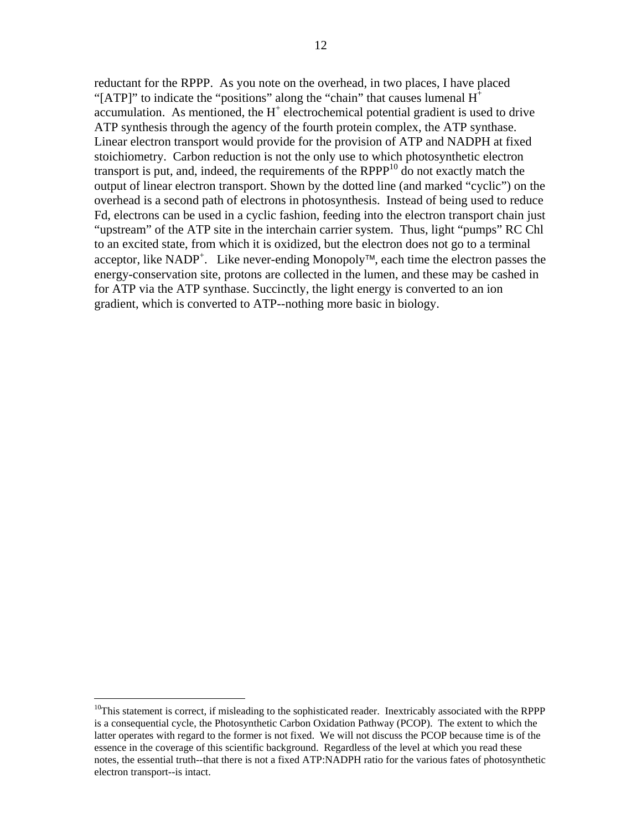reductant for the RPPP. As you note on the overhead, in two places, I have placed "[ATP]" to indicate the "positions" along the "chain" that causes lumenal  $H^+$ accumulation. As mentioned, the  $H^+$  electrochemical potential gradient is used to drive ATP synthesis through the agency of the fourth protein complex, the ATP synthase. Linear electron transport would provide for the provision of ATP and NADPH at fixed stoichiometry. Carbon reduction is not the only use to which photosynthetic electron transport is put, and, indeed, the requirements of the  $RPPP^{10}$  do not exactly match the output of linear electron transport. Shown by the dotted line (and marked "cyclic") on the overhead is a second path of electrons in photosynthesis. Instead of being used to reduce Fd, electrons can be used in a cyclic fashion, feeding into the electron transport chain just "upstream" of the ATP site in the interchain carrier system. Thus, light "pumps" RC Chl to an excited state, from which it is oxidized, but the electron does not go to a terminal acceptor, like NADP<sup>+</sup>. Like never-ending Monopoly<sup>™</sup>, each time the electron passes the energy-conservation site, protons are collected in the lumen, and these may be cashed in for ATP via the ATP synthase. Succinctly, the light energy is converted to an ion gradient, which is converted to ATP--nothing more basic in biology.

1

<span id="page-7-0"></span><sup>&</sup>lt;sup>10</sup>This statement is correct, if misleading to the sophisticated reader. Inextricably associated with the RPPP is a consequential cycle, the Photosynthetic Carbon Oxidation Pathway (PCOP). The extent to which the latter operates with regard to the former is not fixed. We will not discuss the PCOP because time is of the essence in the coverage of this scientific background. Regardless of the level at which you read these notes, the essential truth--that there is not a fixed ATP:NADPH ratio for the various fates of photosynthetic electron transport--is intact.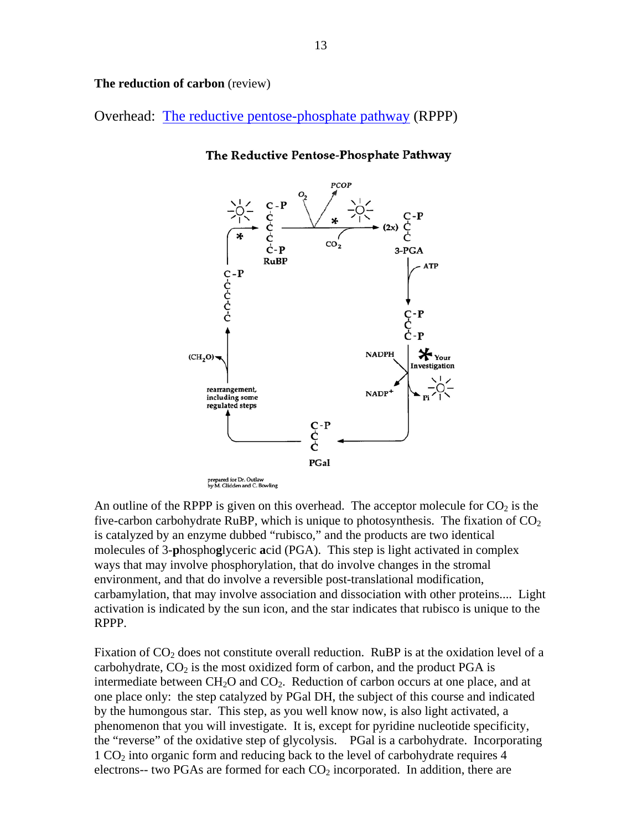**The reduction of carbon** (review)

Overhead: The reductive pentose-phosphate pathway (RPPP)



The Reductive Pentose-Phosphate Pathway

An outline of the RPPP is given on this overhead. The acceptor molecule for  $CO<sub>2</sub>$  is the five-carbon carbohydrate RuBP, which is unique to photosynthesis. The fixation of  $CO<sub>2</sub>$ is catalyzed by an enzyme dubbed "rubisco," and the products are two identical molecules of 3-**p**hospho**g**lyceric **a**cid (PGA). This step is light activated in complex ways that may involve phosphorylation, that do involve changes in the stromal environment, and that do involve a reversible post-translational modification, carbamylation, that may involve association and dissociation with other proteins.... Light activation is indicated by the sun icon, and the star indicates that rubisco is unique to the RPPP.

Fixation of  $CO<sub>2</sub>$  does not constitute overall reduction. RuBP is at the oxidation level of a carbohydrate,  $CO<sub>2</sub>$  is the most oxidized form of carbon, and the product PGA is intermediate between  $CH<sub>2</sub>O$  and  $CO<sub>2</sub>$ . Reduction of carbon occurs at one place, and at one place only: the step catalyzed by PGal DH, the subject of this course and indicated by the humongous star. This step, as you well know now, is also light activated, a phenomenon that you will investigate. It is, except for pyridine nucleotide specificity, the "reverse" of the oxidative step of glycolysis. PGal is a carbohydrate. Incorporating 1 CO2 into organic form and reducing back to the level of carbohydrate requires 4 electrons-- two PGAs are formed for each  $CO<sub>2</sub>$  incorporated. In addition, there are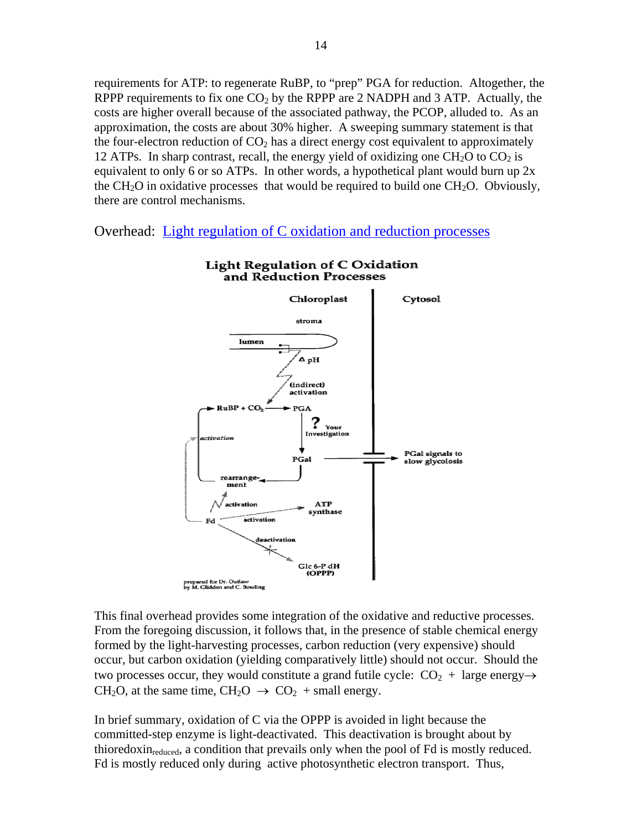requirements for ATP: to regenerate RuBP, to "prep" PGA for reduction. Altogether, the RPPP requirements to fix one  $CO<sub>2</sub>$  by the RPPP are 2 NADPH and 3 ATP. Actually, the costs are higher overall because of the associated pathway, the PCOP, alluded to. As an approximation, the costs are about 30% higher. A sweeping summary statement is that the four-electron reduction of  $CO<sub>2</sub>$  has a direct energy cost equivalent to approximately 12 ATPs. In sharp contrast, recall, the energy yield of oxidizing one  $CH<sub>2</sub>O$  to  $CO<sub>2</sub>$  is equivalent to only 6 or so ATPs. In other words, a hypothetical plant would burn up  $2x$ the CH<sub>2</sub>O in oxidative processes that would be required to build one CH<sub>2</sub>O. Obviously, there are control mechanisms.

Overhead: Light regulation of C oxidation and reduction processes



# **Light Regulation of C Oxidation** and Reduction Processes

This final overhead provides some integration of the oxidative and reductive processes. From the foregoing discussion, it follows that, in the presence of stable chemical energy formed by the light-harvesting processes, carbon reduction (very expensive) should occur, but carbon oxidation (yielding comparatively little) should not occur. Should the two processes occur, they would constitute a grand futile cycle:  $CO<sub>2</sub> + \text{large energy} \rightarrow$  $CH<sub>2</sub>O$ , at the same time,  $CH<sub>2</sub>O \rightarrow CO<sub>2</sub> + small energy$ .

In brief summary, oxidation of C via the OPPP is avoided in light because the committed-step enzyme is light-deactivated. This deactivation is brought about by thioredoxin<sub>reduced</sub>, a condition that prevails only when the pool of Fd is mostly reduced. Fd is mostly reduced only during active photosynthetic electron transport. Thus,